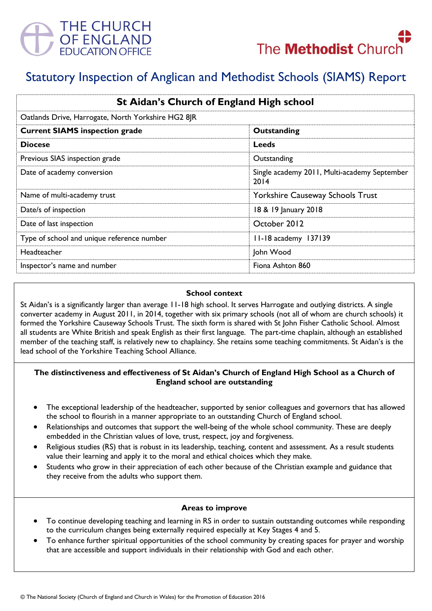



# Statutory Inspection of Anglican and Methodist Schools (SIAMS) Report

| St Aidan's Church of England High school           |                                                      |
|----------------------------------------------------|------------------------------------------------------|
| Oatlands Drive, Harrogate, North Yorkshire HG2 8JR |                                                      |
| <b>Current SIAMS inspection grade</b>              | Outstanding                                          |
| <b>Diocese</b>                                     | <b>Leeds</b>                                         |
| Previous SIAS inspection grade                     | Outstanding                                          |
| Date of academy conversion                         | Single academy 2011, Multi-academy September<br>2014 |
| Name of multi-academy trust                        | Yorkshire Causeway Schools Trust                     |
| Date/s of inspection                               | 18 & 19 January 2018                                 |
| Date of last inspection                            | October 2012                                         |
| Type of school and unique reference number         | 11-18 academy 137139                                 |
| Headteacher                                        | John Wood                                            |
| Inspector's name and number                        | Fiona Ashton 860                                     |

#### **School context**

St Aidan's is a significantly larger than average 11-18 high school. It serves Harrogate and outlying districts. A single converter academy in August 2011, in 2014, together with six primary schools (not all of whom are church schools) it formed the Yorkshire Causeway Schools Trust. The sixth form is shared with St John Fisher Catholic School. Almost all students are White British and speak English as their first language. The part-time chaplain, although an established member of the teaching staff, is relatively new to chaplaincy. She retains some teaching commitments. St Aidan's is the lead school of the Yorkshire Teaching School Alliance.

## **The distinctiveness and effectiveness of St Aidan's Church of England High School as a Church of England school are outstanding**

- The exceptional leadership of the headteacher, supported by senior colleagues and governors that has allowed the school to flourish in a manner appropriate to an outstanding Church of England school.
- Relationships and outcomes that support the well-being of the whole school community. These are deeply embedded in the Christian values of love, trust, respect, joy and forgiveness.
- Religious studies (RS) that is robust in its leadership, teaching, content and assessment. As a result students value their learning and apply it to the moral and ethical choices which they make.
- Students who grow in their appreciation of each other because of the Christian example and guidance that they receive from the adults who support them.

#### **Areas to improve**

- To continue developing teaching and learning in RS in order to sustain outstanding outcomes while responding to the curriculum changes being externally required especially at Key Stages 4 and 5.
- To enhance further spiritual opportunities of the school community by creating spaces for prayer and worship that are accessible and support individuals in their relationship with God and each other.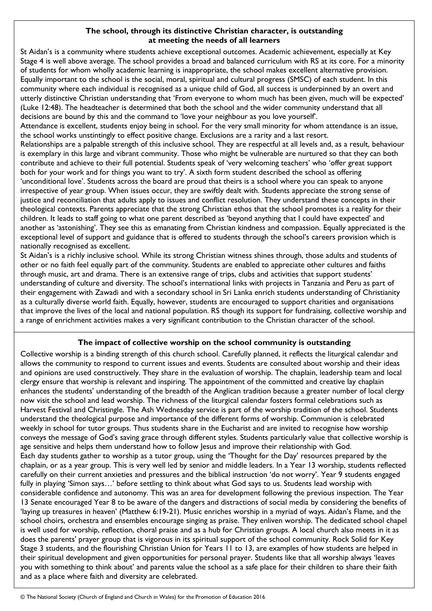## **The school, through its distinctive Christian character, is outstanding at meeting the needs of all learners**

St Aidan's is a community where students achieve exceptional outcomes. Academic achievement, especially at Key Stage 4 is well above average. The school provides a broad and balanced curriculum with RS at its core. For a minority of students for whom wholly academic learning is inappropriate, the school makes excellent alternative provision. Equally important to the school is the social, moral, spiritual and cultural progress (SMSC) of each student. In this community where each individual is recognised as a unique child of God, all success is underpinned by an overt and utterly distinctive Christian understanding that 'From everyone to whom much has been given, much will be expected' (Luke 12:48). The headteacher is determined that both the school and the wider community understand that all decisions are bound by this and the command to 'love your neighbour as you love yourself'.

Attendance is excellent, students enjoy being in school. For the very small minority for whom attendance is an issue, the school works unstintingly to effect positive change. Exclusions are a rarity and a last resort.

Relationships are a palpable strength of this inclusive school. They are respectful at all levels and, as a result, behaviour is exemplary in this large and vibrant community. Those who might be vulnerable are nurtured so that they can both contribute and achieve to their full potential. Students speak of 'very welcoming teachers' who 'offer great support both for your work and for things you want to try'. A sixth form student described the school as offering 'unconditional love'. Students across the board are proud that theirs is a school where you can speak to anyone irrespective of year group. When issues occur, they are swiftly dealt with. Students appreciate the strong sense of justice and reconciliation that adults apply to issues and conflict resolution. They understand these concepts in their theological contexts. Parents appreciate that the strong Christian ethos that the school promotes is a reality for their children. It leads to staff going to what one parent described as 'beyond anything that I could have expected' and another as 'astonishing'. They see this as emanating from Christian kindness and compassion. Equally appreciated is the exceptional level of support and guidance that is offered to students through the school's careers provision which is nationally recognised as excellent.

St Aidan's is a richly inclusive school. While its strong Christian witness shines through, those adults and students of other or no faith feel equally part of the community. Students are enabled to appreciate other cultures and faiths through music, art and drama. There is an extensive range of trips, clubs and activities that support students' understanding of culture and diversity. The school's international links with projects in Tanzania and Peru as part of their engagement with Zawadi and with a secondary school in Sri Lanka enrich students understanding of Christianity as a culturally diverse world faith. Equally, however, students are encouraged to support charities and organisations that improve the lives of the local and national population. RS though its support for fundraising, collective worship and a range of enrichment activities makes a very significant contribution to the Christian character of the school.

## **The impact of collective worship on the school community is outstanding**

Collective worship is a binding strength of this church school. Carefully planned, it reflects the liturgical calendar and allows the community to respond to current issues and events. Students are consulted about worship and their ideas and opinions are used constructively. They share in the evaluation of worship. The chaplain, leadership team and local clergy ensure that worship is relevant and inspiring. The appointment of the committed and creative lay chaplain enhances the students' understanding of the breadth of the Anglican tradition because a greater number of local clergy now visit the school and lead worship. The richness of the liturgical calendar fosters formal celebrations such as Harvest Festival and Christingle. The Ash Wednesday service is part of the worship tradition of the school. Students understand the theological purpose and importance of the different forms of worship. Communion is celebrated weekly in school for tutor groups. Thus students share in the Eucharist and are invited to recognise how worship conveys the message of God's saving grace through different styles. Students particularly value that collective worship is age sensitive and helps them understand how to follow Jesus and improve their relationship with God. Each day students gather to worship as a tutor group, using the 'Thought for the Day' resources prepared by the chaplain, or as a year group. This is very well led by senior and middle leaders. In a Year 13 worship, students reflected carefully on their current anxieties and pressures and the biblical instruction 'do not worry'. Year 9 students engaged fully in playing 'Simon says…' before settling to think about what God says to us. Students lead worship with considerable confidence and autonomy. This was an area for development following the previous inspection. The Year 13 Senate encouraged Year 8 to be aware of the dangers and distractions of social media by considering the benefits of 'laying up treasures in heaven' (Matthew 6:19-21). Music enriches worship in a myriad of ways. Aidan's Flame, and the school choirs, orchestra and ensembles encourage singing as praise. They enliven worship. The dedicated school chapel is well used for worship, reflection, choral praise and as a hub for Christian groups. A local church also meets in it as does the parents' prayer group that is vigorous in its spiritual support of the school community. Rock Solid for Key Stage 3 students, and the flourishing Christian Union for Years 11 to 13, are examples of how students are helped in their spiritual development and given opportunities for personal prayer. Students like that all worship always 'leaves you with something to think about' and parents value the school as a safe place for their children to share their faith and as a place where faith and diversity are celebrated.